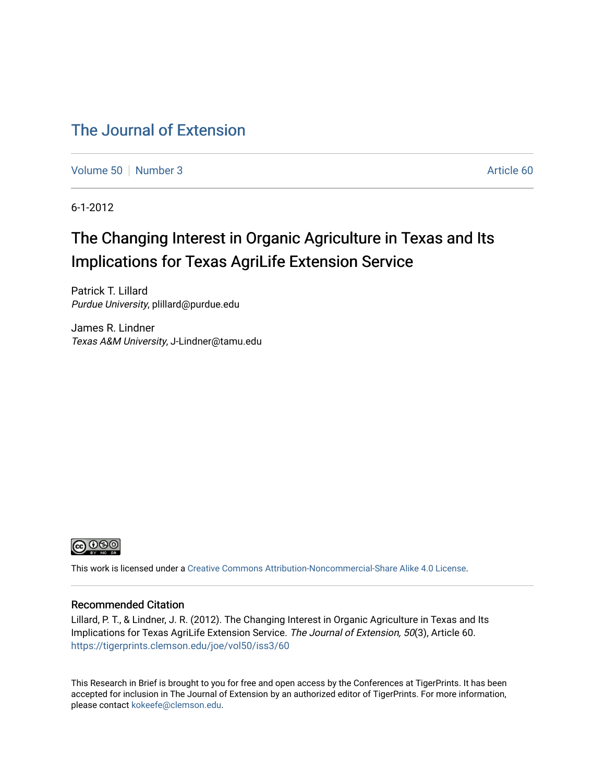# [The Journal of Extension](https://tigerprints.clemson.edu/joe)

[Volume 50](https://tigerprints.clemson.edu/joe/vol50) [Number 3](https://tigerprints.clemson.edu/joe/vol50/iss3) Article 60

6-1-2012

# The Changing Interest in Organic Agriculture in Texas and Its Implications for Texas AgriLife Extension Service

Patrick T. Lillard Purdue University, plillard@purdue.edu

James R. Lindner Texas A&M University, J-Lindner@tamu.edu



This work is licensed under a [Creative Commons Attribution-Noncommercial-Share Alike 4.0 License.](https://creativecommons.org/licenses/by-nc-sa/4.0/)

#### Recommended Citation

Lillard, P. T., & Lindner, J. R. (2012). The Changing Interest in Organic Agriculture in Texas and Its Implications for Texas AgriLife Extension Service. The Journal of Extension, 50(3), Article 60. <https://tigerprints.clemson.edu/joe/vol50/iss3/60>

This Research in Brief is brought to you for free and open access by the Conferences at TigerPrints. It has been accepted for inclusion in The Journal of Extension by an authorized editor of TigerPrints. For more information, please contact [kokeefe@clemson.edu](mailto:kokeefe@clemson.edu).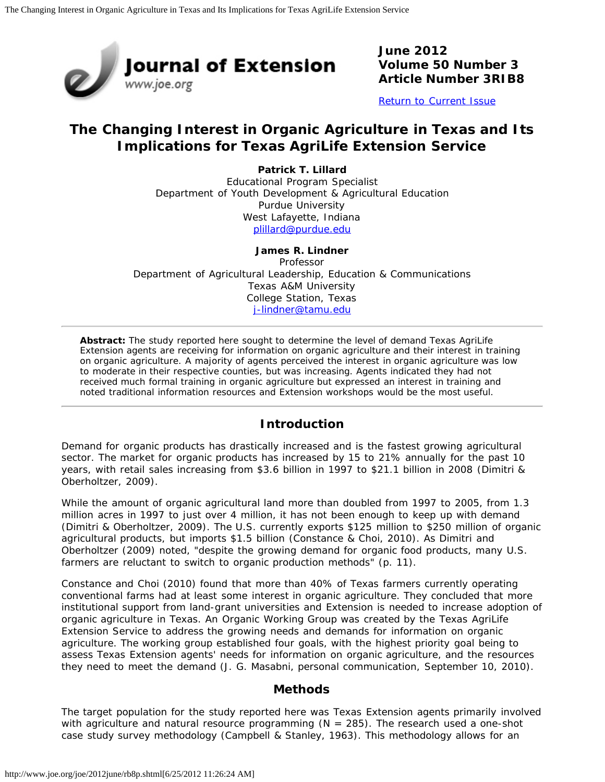

**June 2012 Volume 50 Number 3 Article Number 3RIB8**

[Return to Current Issue](http://www.joe.org/joe/2012june/)

# **The Changing Interest in Organic Agriculture in Texas and Its Implications for Texas AgriLife Extension Service**

**Patrick T. Lillard** Educational Program Specialist Department of Youth Development & Agricultural Education Purdue University West Lafayette, Indiana [plillard@purdue.edu](mailto:plillard@purdue.edu)

#### **James R. Lindner**

Professor Department of Agricultural Leadership, Education & Communications Texas A&M University College Station, Texas [j-lindner@tamu.edu](mailto:j-lindner@tamu.edu)

*Abstract: The study reported here sought to determine the level of demand Texas AgriLife Extension agents are receiving for information on organic agriculture and their interest in training on organic agriculture. A majority of agents perceived the interest in organic agriculture was low to moderate in their respective counties, but was increasing. Agents indicated they had not received much formal training in organic agriculture but expressed an interest in training and noted traditional information resources and Extension workshops would be the most useful.*

# **Introduction**

Demand for organic products has drastically increased and is the fastest growing agricultural sector. The market for organic products has increased by 15 to 21% annually for the past 10 years, with retail sales increasing from \$3.6 billion in 1997 to \$21.1 billion in 2008 (Dimitri & Oberholtzer, 2009).

While the amount of organic agricultural land more than doubled from 1997 to 2005, from 1.3 million acres in 1997 to just over 4 million, it has not been enough to keep up with demand (Dimitri & Oberholtzer, 2009). The U.S. currently exports \$125 million to \$250 million of organic agricultural products, but imports \$1.5 billion (Constance & Choi, 2010). As Dimitri and Oberholtzer (2009) noted, "despite the growing demand for organic food products, many U.S. farmers are reluctant to switch to organic production methods" (p. 11).

Constance and Choi (2010) found that more than 40% of Texas farmers currently operating conventional farms had at least some interest in organic agriculture. They concluded that more institutional support from land-grant universities and Extension is needed to increase adoption of organic agriculture in Texas. An Organic Working Group was created by the Texas AgriLife Extension Service to address the growing needs and demands for information on organic agriculture. The working group established four goals, with the highest priority goal being to assess Texas Extension agents' needs for information on organic agriculture, and the resources they need to meet the demand (J. G. Masabni, personal communication, September 10, 2010).

# **Methods**

The target population for the study reported here was Texas Extension agents primarily involved with agriculture and natural resource programming ( $N = 285$ ). The research used a one-shot case study survey methodology (Campbell & Stanley, 1963). This methodology allows for an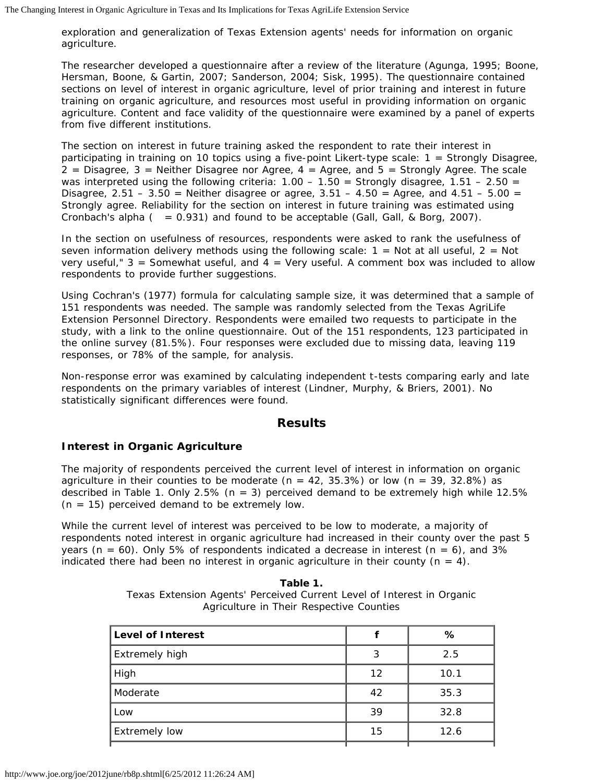exploration and generalization of Texas Extension agents' needs for information on organic agriculture.

The researcher developed a questionnaire after a review of the literature (Agunga, 1995; Boone, Hersman, Boone, & Gartin, 2007; Sanderson, 2004; Sisk, 1995). The questionnaire contained sections on level of interest in organic agriculture, level of prior training and interest in future training on organic agriculture, and resources most useful in providing information on organic agriculture. Content and face validity of the questionnaire were examined by a panel of experts from five different institutions.

The section on interest in future training asked the respondent to rate their interest in participating in training on 10 topics using a five-point Likert-type scale: 1 = Strongly Disagree,  $2$  = Disagree, 3 = Neither Disagree nor Agree, 4 = Agree, and 5 = Strongly Agree. The scale was interpreted using the following criteria:  $1.00 - 1.50 =$  Strongly disagree,  $1.51 - 2.50 =$ Disagree, 2.51 – 3.50 = Neither disagree or agree, 3.51 – 4.50 = Agree, and 4.51 – 5.00 = Strongly agree. Reliability for the section on interest in future training was estimated using Cronbach's alpha  $( = 0.931)$  and found to be acceptable (Gall, Gall, & Borg, 2007).

In the section on usefulness of resources, respondents were asked to rank the usefulness of seven information delivery methods using the following scale:  $1 =$  Not at all useful,  $2 =$  Not very useful,"  $3 =$  Somewhat useful, and  $4 =$  Very useful. A comment box was included to allow respondents to provide further suggestions.

Using Cochran's (1977) formula for calculating sample size, it was determined that a sample of 151 respondents was needed. The sample was randomly selected from the Texas AgriLife Extension Personnel Directory. Respondents were emailed two requests to participate in the study, with a link to the online questionnaire. Out of the 151 respondents, 123 participated in the online survey (81.5%). Four responses were excluded due to missing data, leaving 119 responses, or 78% of the sample, for analysis.

Non-response error was examined by calculating independent t-tests comparing early and late respondents on the primary variables of interest (Lindner, Murphy, & Briers, 2001). No statistically significant differences were found.

# **Results**

# **Interest in Organic Agriculture**

The majority of respondents perceived the current level of interest in information on organic agriculture in their counties to be moderate ( $n = 42$ , 35.3%) or low ( $n = 39$ , 32.8%) as described in Table 1. Only 2.5% (*n* = 3) perceived demand to be extremely high while 12.5%  $(n = 15)$  perceived demand to be extremely low.

While the current level of interest was perceived to be low to moderate, a majority of respondents noted interest in organic agriculture had increased in their county over the past 5 years (*n* = 60). Only 5% of respondents indicated a decrease in interest (*n* = 6), and 3% indicated there had been no interest in organic agriculture in their county  $(n = 4)$ .

> **Table 1.** Texas Extension Agents' Perceived Current Level of Interest in Organic Agriculture in Their Respective Counties

|    | %    |
|----|------|
| 3  | 2.5  |
| 12 | 10.1 |
| 42 | 35.3 |
| 39 | 32.8 |
| 15 | 12.6 |
|    |      |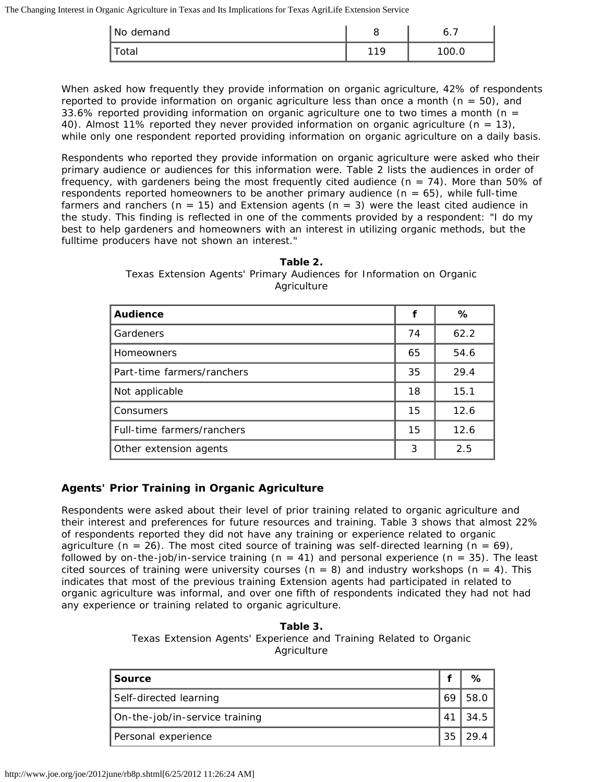| No demand | U   | O.1   |
|-----------|-----|-------|
| otal      | 110 | 100.0 |

When asked how frequently they provide information on organic agriculture, 42% of respondents reported to provide information on organic agriculture less than once a month (*n* = 50), and 33.6% reported providing information on organic agriculture one to two times a month (*n* = 40). Almost 11% reported they never provided information on organic agriculture  $(n = 13)$ , while only one respondent reported providing information on organic agriculture on a daily basis.

Respondents who reported they provide information on organic agriculture were asked who their primary audience or audiences for this information were. Table 2 lists the audiences in order of frequency, with gardeners being the most frequently cited audience (*n =* 74). More than 50% of respondents reported homeowners to be another primary audience (*n* = 65), while full-time farmers and ranchers (*n* = 15) and Extension agents (*n* = 3) were the least cited audience in the study. This finding is reflected in one of the comments provided by a respondent: "I do my best to help gardeners and homeowners with an interest in utilizing organic methods, but the fulltime producers have not shown an interest."

**Table 2.** Texas Extension Agents' Primary Audiences for Information on Organic **Agriculture** 

| <b>Audience</b>            |    | %    |
|----------------------------|----|------|
| Gardeners                  | 74 | 62.2 |
| <b>Homeowners</b>          | 65 | 54.6 |
| Part-time farmers/ranchers | 35 | 29.4 |
| Not applicable             | 18 | 15.1 |
| Consumers                  | 15 | 12.6 |
| Full-time farmers/ranchers | 15 | 12.6 |
| Other extension agents     | 3  | 2.5  |

# **Agents' Prior Training in Organic Agriculture**

Respondents were asked about their level of prior training related to organic agriculture and their interest and preferences for future resources and training. Table 3 shows that almost 22% of respondents reported they did not have any training or experience related to organic agriculture ( $n = 26$ ). The most cited source of training was self-directed learning ( $n = 69$ ), followed by on-the-job/in-service training (*n =* 41) and personal experience (*n =* 35). The least cited sources of training were university courses (*n =* 8) and industry workshops (*n =* 4). This indicates that most of the previous training Extension agents had participated in related to organic agriculture was informal, and over one fifth of respondents indicated they had not had any experience or training related to organic agriculture.

> **Table 3.** Texas Extension Agents' Experience and Training Related to Organic Agriculture

| <b>Source</b>                  |    |       |
|--------------------------------|----|-------|
| Self-directed learning         |    | 58.0  |
| On-the-job/in-service training | 41 | 34.5  |
| Personal experience            | 35 | -29.4 |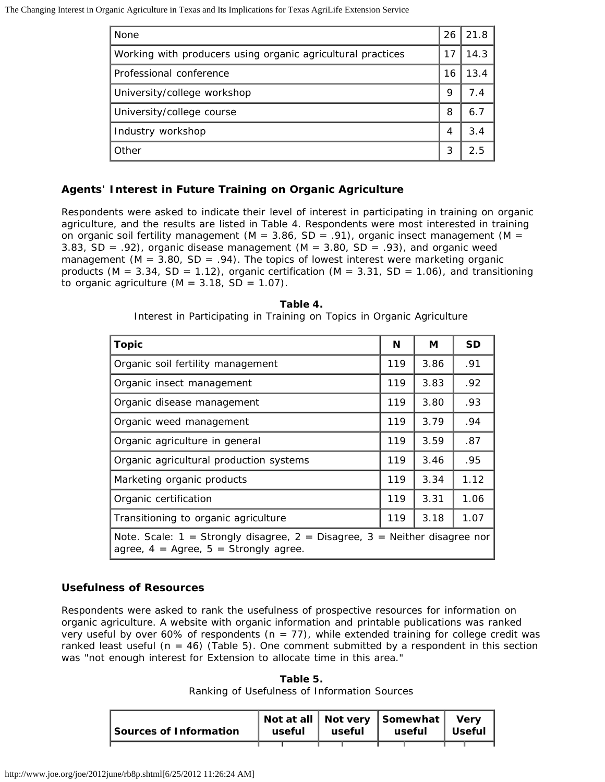The Changing Interest in Organic Agriculture in Texas and Its Implications for Texas AgriLife Extension Service

| None                                                        | 26 | 21.8 |  |
|-------------------------------------------------------------|----|------|--|
| Working with producers using organic agricultural practices |    |      |  |
| Professional conference                                     | 16 | 13.4 |  |
| University/college workshop                                 | 9  | 74   |  |
| University/college course                                   | 8  | 6.7  |  |
| Industry workshop                                           |    | 3.4  |  |
| Other                                                       | 3  | 25   |  |

# **Agents' Interest in Future Training on Organic Agriculture**

Respondents were asked to indicate their level of interest in participating in training on organic agriculture, and the results are listed in Table 4. Respondents were most interested in training on organic soil fertility management (*M =* 3.86, *SD* = .91), organic insect management (*M =* 3.83, *SD* = .92), organic disease management (*M =* 3.80, *SD* = .93), and organic weed management ( $M = 3.80$ ,  $SD = .94$ ). The topics of lowest interest were marketing organic products (*M =* 3.34, *SD* = 1.12), organic certification (*M =* 3.31, *SD* = 1.06), and transitioning to organic agriculture  $(M = 3.18, SD = 1.07)$ .

| <b>Topic</b>                                                                                                                                     | N   | М    | <b>SD</b> |  |
|--------------------------------------------------------------------------------------------------------------------------------------------------|-----|------|-----------|--|
| Organic soil fertility management                                                                                                                | 119 | 3.86 | .91       |  |
| Organic insect management                                                                                                                        | 119 | 3.83 | .92       |  |
| Organic disease management                                                                                                                       | 119 | 3.80 | .93       |  |
| Organic weed management                                                                                                                          | 119 | 3.79 | .94       |  |
| Organic agriculture in general                                                                                                                   | 119 | 3.59 | .87       |  |
| Organic agricultural production systems                                                                                                          | 119 | 3.46 | .95       |  |
| Marketing organic products                                                                                                                       | 119 | 3.34 | 1.12      |  |
| Organic certification                                                                                                                            | 119 | 3.31 | 1.06      |  |
| Transitioning to organic agriculture                                                                                                             |     | 3.18 | 1.07      |  |
| <i>Note.</i> Scale: $1 =$ Strongly disagree, $2 =$ Disagree, $3 =$ Neither disagree nor<br>agree, $4 = \text{Agree}, 5 = \text{Strongly agree}.$ |     |      |           |  |

**Table 4.** Interest in Participating in Training on Topics in Organic Agriculture

#### **Usefulness of Resources**

Respondents were asked to rank the usefulness of prospective resources for information on organic agriculture. A website with organic information and printable publications was ranked very useful by over 60% of respondents (*n* = 77), while extended training for college credit was ranked least useful (*n* = 46) (Table 5). One comment submitted by a respondent in this section was "not enough interest for Extension to allocate time in this area."

**Table 5.** Ranking of Usefulness of Information Sources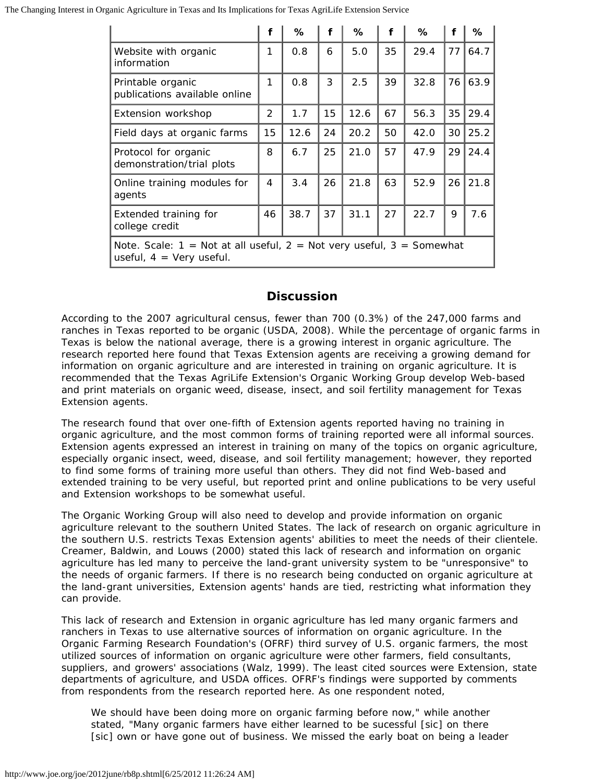The Changing Interest in Organic Agriculture in Texas and Its Implications for Texas AgriLife Extension Service

|                                                                                                                         | f             | ℅    | f  | ℅    | f  | ℅    | f  | ℅    |
|-------------------------------------------------------------------------------------------------------------------------|---------------|------|----|------|----|------|----|------|
| Website with organic<br>information                                                                                     | 1             | 0.8  | 6  | 5.0  | 35 | 29.4 | 77 | 64.7 |
| Printable organic<br>publications available online                                                                      | 1             | 0.8  | 3  | 2.5  | 39 | 32.8 | 76 | 63.9 |
| Extension workshop                                                                                                      | $\mathcal{P}$ | 1.7  | 15 | 12.6 | 67 | 56.3 | 35 | 29.4 |
| Field days at organic farms                                                                                             | 15            | 12.6 | 24 | 20.2 | 50 | 42.0 | 30 | 25.2 |
| Protocol for organic<br>demonstration/trial plots                                                                       | 8             | 6.7  | 25 | 21.0 | 57 | 47.9 | 29 | 24.4 |
| Online training modules for<br>agents                                                                                   | 4             | 3.4  | 26 | 21.8 | 63 | 52.9 | 26 | 21.8 |
| Extended training for<br>college credit                                                                                 | 46            | 38.7 | 37 | 31.1 | 27 | 22.7 | 9  | 7.6  |
| <i>Note.</i> Scale: $1 =$ Not at all useful, $2 =$ Not very useful, $3 =$ Somewhat<br>useful, $4 = \text{Very}$ useful. |               |      |    |      |    |      |    |      |

# **Discussion**

According to the 2007 agricultural census, fewer than 700 (0.3%) of the 247,000 farms and ranches in Texas reported to be organic (USDA, 2008). While the percentage of organic farms in Texas is below the national average, there is a growing interest in organic agriculture. The research reported here found that Texas Extension agents are receiving a growing demand for information on organic agriculture and are interested in training on organic agriculture. It is recommended that the Texas AgriLife Extension's Organic Working Group develop Web-based and print materials on organic weed, disease, insect, and soil fertility management for Texas Extension agents.

The research found that over one-fifth of Extension agents reported having no training in organic agriculture, and the most common forms of training reported were all informal sources. Extension agents expressed an interest in training on many of the topics on organic agriculture, especially organic insect, weed, disease, and soil fertility management; however, they reported to find some forms of training more useful than others. They did not find Web-based and extended training to be very useful, but reported print and online publications to be very useful and Extension workshops to be somewhat useful.

The Organic Working Group will also need to develop and provide information on organic agriculture relevant to the southern United States. The lack of research on organic agriculture in the southern U.S. restricts Texas Extension agents' abilities to meet the needs of their clientele. Creamer, Baldwin, and Louws (2000) stated this lack of research and information on organic agriculture has led many to perceive the land-grant university system to be "unresponsive" to the needs of organic farmers. If there is no research being conducted on organic agriculture at the land-grant universities, Extension agents' hands are tied, restricting what information they can provide.

This lack of research and Extension in organic agriculture has led many organic farmers and ranchers in Texas to use alternative sources of information on organic agriculture. In the Organic Farming Research Foundation's (OFRF) third survey of U.S. organic farmers, the most utilized sources of information on organic agriculture were other farmers, field consultants, suppliers, and growers' associations (Walz, 1999). The least cited sources were Extension, state departments of agriculture, and USDA offices. OFRF's findings were supported by comments from respondents from the research reported here. As one respondent noted,

We should have been doing more on organic farming before now," while another stated, "Many organic farmers have either learned to be sucessful [*sic*] on there [*sic*] own or have gone out of business. We missed the early boat on being a leader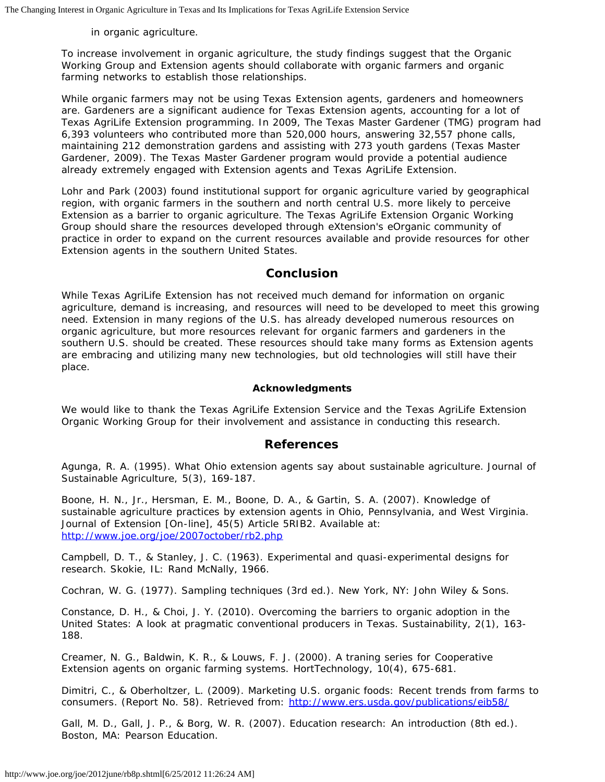in organic agriculture.

To increase involvement in organic agriculture, the study findings suggest that the Organic Working Group and Extension agents should collaborate with organic farmers and organic farming networks to establish those relationships.

While organic farmers may not be using Texas Extension agents, gardeners and homeowners are. Gardeners are a significant audience for Texas Extension agents, accounting for a lot of Texas AgriLife Extension programming. In 2009, The Texas Master Gardener (TMG) program had 6,393 volunteers who contributed more than 520,000 hours, answering 32,557 phone calls, maintaining 212 demonstration gardens and assisting with 273 youth gardens (Texas Master Gardener, 2009). The Texas Master Gardener program would provide a potential audience already extremely engaged with Extension agents and Texas AgriLife Extension.

Lohr and Park (2003) found institutional support for organic agriculture varied by geographical region, with organic farmers in the southern and north central U.S. more likely to perceive Extension as a barrier to organic agriculture. The Texas AgriLife Extension Organic Working Group should share the resources developed through eXtension's eOrganic community of practice in order to expand on the current resources available and provide resources for other Extension agents in the southern United States.

#### **Conclusion**

While Texas AgriLife Extension has not received much demand for information on organic agriculture, demand is increasing, and resources will need to be developed to meet this growing need. Extension in many regions of the U.S. has already developed numerous resources on organic agriculture, but more resources relevant for organic farmers and gardeners in the southern U.S. should be created. These resources should take many forms as Extension agents are embracing and utilizing many new technologies, but old technologies will still have their place.

#### **Acknowledgments**

We would like to thank the Texas AgriLife Extension Service and the Texas AgriLife Extension Organic Working Group for their involvement and assistance in conducting this research.

#### **References**

Agunga, R. A. (1995). What Ohio extension agents say about sustainable agriculture. *Journal of Sustainable Agriculture,* 5(3), 169-187.

Boone, H. N., Jr., Hersman, E. M., Boone, D. A., & Gartin, S. A. (2007). Knowledge of sustainable agriculture practices by extension agents in Ohio, Pennsylvania, and West Virginia. *Journal of Extension* [On-line], 45(5) Article 5RIB2. Available at: <http://www.joe.org/joe/2007october/rb2.php>

Campbell, D. T., & Stanley, J. C. (1963). *Experimental and quasi-experimental designs for research.* Skokie, IL: Rand McNally, 1966.

Cochran, W. G. (1977). *Sampling techniques* (3rd ed.). New York, NY: John Wiley & Sons.

Constance, D. H., & Choi, J. Y. (2010). Overcoming the barriers to organic adoption in the United States: A look at pragmatic conventional producers in Texas. *Sustainability,* 2(1), 163- 188.

Creamer, N. G., Baldwin, K. R., & Louws, F. J. (2000). A traning series for Cooperative Extension agents on organic farming systems. *HortTechnology,* 10(4), 675-681.

Dimitri, C., & Oberholtzer, L. (2009). *Marketing U.S. organic foods: Recent trends from farms to consumers*. (Report No. 58). Retrieved from: <http://www.ers.usda.gov/publications/eib58/>

Gall, M. D., Gall, J. P., & Borg, W. R. (2007). *Education research: An introduction* (8th ed.). Boston, MA: Pearson Education.